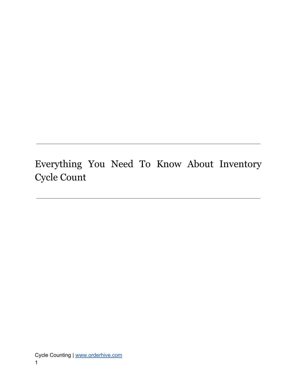<span id="page-0-0"></span>Everything You Need To Know About Inventory Cycle Count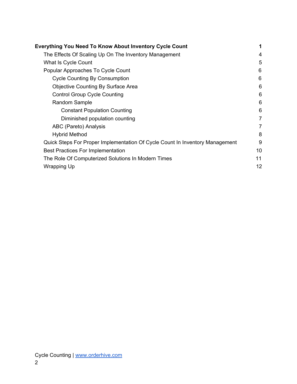| <b>Everything You Need To Know About Inventory Cycle Count</b>               | 1              |
|------------------------------------------------------------------------------|----------------|
| The Effects Of Scaling Up On The Inventory Management                        | 4              |
| What Is Cycle Count                                                          | 5              |
| Popular Approaches To Cycle Count                                            | 6              |
| <b>Cycle Counting By Consumption</b>                                         | 6              |
| <b>Objective Counting By Surface Area</b>                                    | 6              |
| <b>Control Group Cycle Counting</b>                                          | 6              |
| Random Sample                                                                | 6              |
| <b>Constant Population Counting</b>                                          | 6              |
| Diminished population counting                                               | $\overline{7}$ |
| ABC (Pareto) Analysis                                                        | $\overline{7}$ |
| <b>Hybrid Method</b>                                                         | 8              |
| Quick Steps For Proper Implementation Of Cycle Count In Inventory Management | 9              |
| <b>Best Practices For Implementation</b>                                     | 10             |
| The Role Of Computerized Solutions In Modern Times                           | 11             |
| Wrapping Up                                                                  | 12             |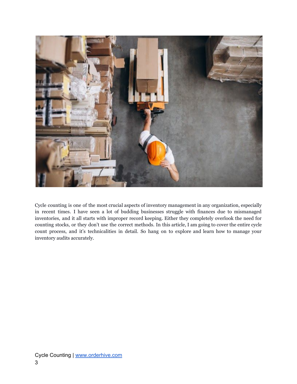

Cycle counting is one of the most crucial aspects of inventory management in any organization, especially in recent times. I have seen a lot of budding businesses struggle with finances due to mismanaged inventories, and it all starts with improper record keeping. Either they completely overlook the need for counting stocks, or they don't use the correct methods. In this article, I am going to cover the entire cycle count process, and it's technicalities in detail. So hang on to explore and learn how to manage your inventory audits accurately.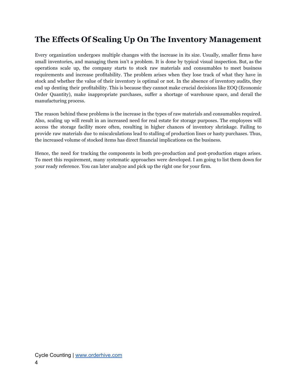## <span id="page-3-0"></span>**The Effects Of Scaling Up On The Inventory Management**

Every organization undergoes multiple changes with the increase in its size. Usually, smaller firms have small inventories, and managing them isn't a problem. It is done by typical visual inspection. But, as the operations scale up, the company starts to stock raw materials and consumables to meet business requirements and increase profitability. The problem arises when they lose track of what they have in stock and whether the value of their inventory is optimal or not. In the absence of inventory audits, they end up denting their profitability. This is because they cannot make crucial decisions like EOQ (Economic Order Quantity), make inappropriate purchases, suffer a shortage of warehouse space, and derail the manufacturing process.

The reason behind these problems is the increase in the types of raw materials and consumables required. Also, scaling up will result in an increased need for real estate for storage purposes. The employees will access the storage facility more often, resulting in higher chances of inventory shrinkage. Failing to provide raw materials due to miscalculations lead to stalling of production lines or hasty purchases. Thus, the increased volume of stocked items has direct financial implications on the business.

Hence, the need for tracking the components in both pre-production and post-production stages arises. To meet this requirement, many systematic approaches were developed. I am going to list them down for your ready reference. You can later analyze and pick up the right one for your firm.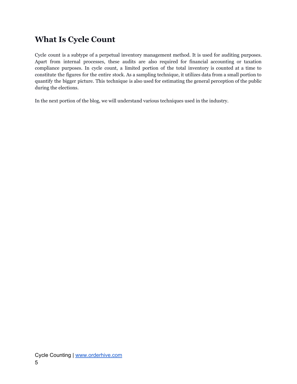# <span id="page-4-0"></span>**What Is Cycle Count**

Cycle count is a subtype of a perpetual inventory management method. It is used for auditing purposes. Apart from internal processes, these audits are also required for financial accounting or taxation compliance purposes. In cycle count, a limited portion of the total inventory is counted at a time to constitute the figures for the entire stock. As a sampling technique, it utilizes data from a small portion to quantify the bigger picture. This technique is also used for estimating the general perception of the public during the elections.

In the next portion of the blog, we will understand various techniques used in the industry.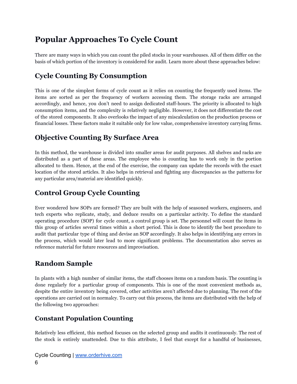# <span id="page-5-0"></span>**Popular Approaches To Cycle Count**

There are many ways in which you can count the piled stocks in your warehouses. All of them differ on the basis of which portion of the inventory is considered for audit. Learn more about these approaches below:

### <span id="page-5-1"></span>**Cycle Counting By Consumption**

This is one of the simplest forms of cycle count as it relies on counting the frequently used items. The items are sorted as per the frequency of workers accessing them. The storage racks are arranged accordingly, and hence, you don't need to assign dedicated staff-hours. The priority is allocated to high consumption items, and the complexity is relatively negligible. However, it does not differentiate the cost of the stored components. It also overlooks the impact of any miscalculation on the production process or financial losses. These factors make it suitable only for low value, comprehensive inventory carrying firms.

#### <span id="page-5-2"></span>**Objective Counting By Surface Area**

In this method, the warehouse is divided into smaller areas for audit purposes. All shelves and racks are distributed as a part of these areas. The employee who is counting has to work only in the portion allocated to them. Hence, at the end of the exercise, the company can update the records with the exact location of the stored articles. It also helps in retrieval and fighting any discrepancies as the patterns for any particular area/material are identified quickly.

#### <span id="page-5-3"></span>**Control Group Cycle Counting**

Ever wondered how SOPs are formed? They are built with the help of seasoned workers, engineers, and tech experts who replicate, study, and deduce results on a particular activity. To define the standard operating procedure (SOP) for cycle count, a control group is set. The personnel will count the items in this group of articles several times within a short period. This is done to identify the best procedure to audit that particular type of thing and devise an SOP accordingly. It also helps in identifying any errors in the process, which would later lead to more significant problems. The documentation also serves as reference material for future resources and improvisation.

## <span id="page-5-4"></span>**Random Sample**

In plants with a high number of similar items, the staff chooses items on a random basis. The counting is done regularly for a particular group of components. This is one of the most convenient methods as, despite the entire inventory being covered, other activities aren't affected due to planning. The rest of the operations are carried out in normalcy. To carry out this process, the items are distributed with the help of the following two approaches:

#### <span id="page-5-5"></span>**Constant Population Counting**

Relatively less efficient, this method focuses on the selected group and audits it continuously. The rest of the stock is entirely unattended. Due to this attribute, I feel that except for a handful of businesses,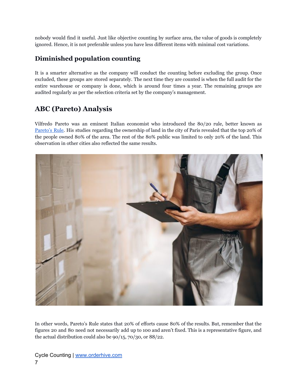nobody would find it useful. Just like objective counting by surface area, the value of goods is completely ignored. Hence, it is not preferable unless you have less different items with minimal cost variations.

#### <span id="page-6-0"></span>**Diminished population counting**

It is a smarter alternative as the company will conduct the counting before excluding the group. Once excluded, these groups are stored separately. The next time they are counted is when the full audit for the entire warehouse or company is done, which is around four times a year. The remaining groups are audited regularly as per the selection criteria set by the company's management.

## <span id="page-6-1"></span>**ABC (Pareto) Analysis**

Vilfredo Pareto was an eminent Italian economist who introduced the 80/20 rule, better known as [Pareto's](https://www.investopedia.com/terms/p/paretoprinciple.asp) Rule. His studies regarding the ownership of land in the city of Paris revealed that the top 20% of the people owned 80% of the area. The rest of the 80% public was limited to only 20% of the land. This observation in other cities also reflected the same results.



In other words, Pareto's Rule states that 20% of efforts cause 80% of the results. But, remember that the figures 20 and 80 need not necessarily add up to 100 and aren't fixed. This is a representative figure, and the actual distribution could also be 90/15, 70/30, or 88/22.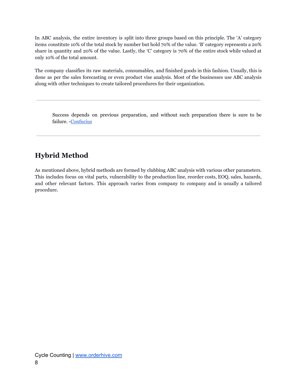In ABC analysis, the entire inventory is split into three groups based on this principle. The 'A' category items constitute 10% of the total stock by number but hold 70% of the value. 'B' category represents a 20% share in quantity and 20% of the value. Lastly, the 'C' category is 70% of the entire stock while valued at only 10% of the total amount.

The company classifies its raw materials, consumables, and finished goods in this fashion. Usually, this is done as per the sales forecasting or even product vise analysis. Most of the businesses use ABC analysis along with other techniques to create tailored procedures for their organization.

Success depends on previous preparation, and without such preparation there is sure to be failure. -[Confucius](https://www.biography.com/scholar/confucius)

## <span id="page-7-0"></span>**Hybrid Method**

As mentioned above, hybrid methods are formed by clubbing ABC analysis with various other parameters. This includes focus on vital parts, vulnerability to the production line, reorder costs, EOQ, sales, hazards, and other relevant factors. This approach varies from company to company and is usually a tailored procedure.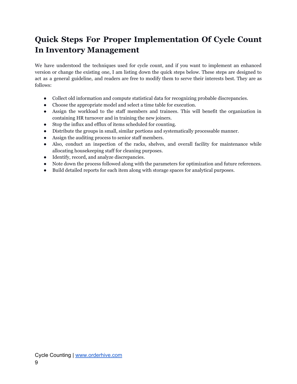# <span id="page-8-0"></span>**Quick Steps For Proper Implementation Of Cycle Count In Inventory Management**

We have understood the techniques used for cycle count, and if you want to implement an enhanced version or change the existing one, I am listing down the quick steps below. These steps are designed to act as a general guideline, and readers are free to modify them to serve their interests best. They are as follows:

- Collect old information and compute statistical data for recognizing probable discrepancies.
- Choose the appropriate model and select a time table for execution.
- Assign the workload to the staff members and trainees. This will benefit the organization in containing HR turnover and in training the new joiners.
- Stop the influx and efflux of items scheduled for counting.
- Distribute the groups in small, similar portions and systematically processable manner.
- Assign the auditing process to senior staff members.
- Also, conduct an inspection of the racks, shelves, and overall facility for maintenance while allocating housekeeping staff for cleaning purposes.
- Identify, record, and analyze discrepancies.
- Note down the process followed along with the parameters for optimization and future references.
- Build detailed reports for each item along with storage spaces for analytical purposes.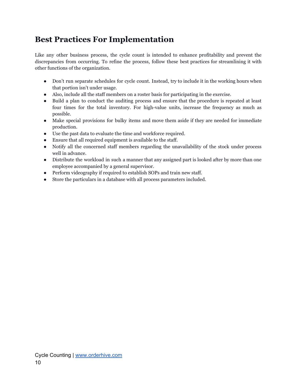# <span id="page-9-0"></span>**Best Practices For Implementation**

Like any other business process, the cycle count is intended to enhance profitability and prevent the discrepancies from occurring. To refine the process, follow these best practices for streamlining it with other functions of the organization.

- Don't run separate schedules for cycle count. Instead, try to include it in the working hours when that portion isn't under usage.
- Also, include all the staff members on a roster basis for participating in the exercise.
- Build a plan to conduct the auditing process and ensure that the procedure is repeated at least four times for the total inventory. For high-value units, increase the frequency as much as possible.
- Make special provisions for bulky items and move them aside if they are needed for immediate production.
- Use the past data to evaluate the time and workforce required.
- Ensure that all required equipment is available to the staff.
- Notify all the concerned staff members regarding the unavailability of the stock under process well in advance.
- Distribute the workload in such a manner that any assigned part is looked after by more than one employee accompanied by a general supervisor.
- Perform videography if required to establish SOPs and train new staff.
- Store the particulars in a database with all process parameters included.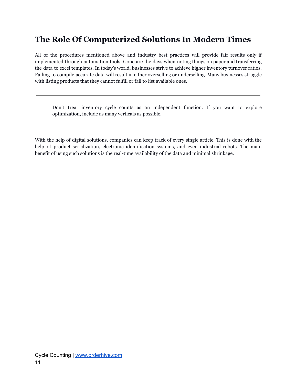# <span id="page-10-0"></span>**The Role Of Computerized Solutions In Modern Times**

All of the procedures mentioned above and industry best practices will provide fair results only if implemented through automation tools. Gone are the days when noting things on paper and transferring the data to excel templates. In today's world, businesses strive to achieve higher inventory turnover ratios. Failing to compile accurate data will result in either overselling or underselling. Many businesses struggle with listing products that they cannot fulfill or fail to list available ones.

Don't treat inventory cycle counts as an independent function. If you want to explore optimization, include as many verticals as possible.

With the help of digital solutions, companies can keep track of every single article. This is done with the help of product serialization, electronic identification systems, and even industrial robots. The main benefit of using such solutions is the real-time availability of the data and minimal shrinkage.